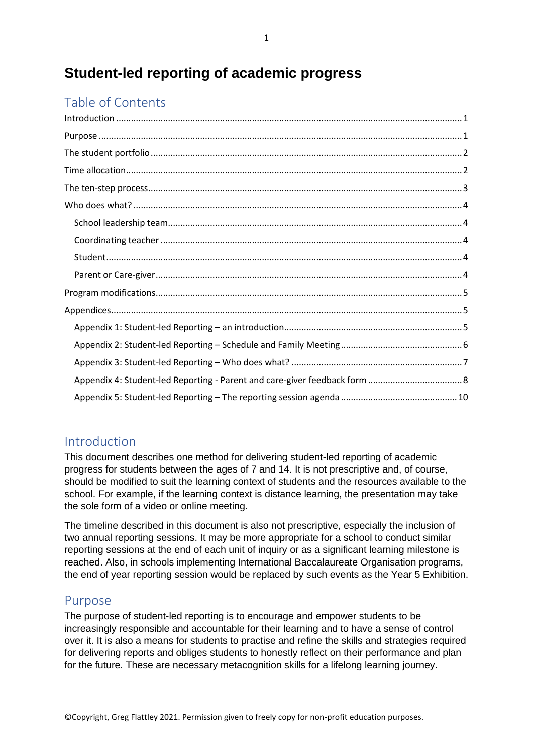# **Student-led reporting of academic progress**

# Table of Contents

### <span id="page-0-0"></span>Introduction

This document describes one method for delivering student-led reporting of academic progress for students between the ages of 7 and 14. It is not prescriptive and, of course, should be modified to suit the learning context of students and the resources available to the school. For example, if the learning context is distance learning, the presentation may take the sole form of a video or online meeting.

The timeline described in this document is also not prescriptive, especially the inclusion of two annual reporting sessions. It may be more appropriate for a school to conduct similar reporting sessions at the end of each unit of inquiry or as a significant learning milestone is reached. Also, in schools implementing International Baccalaureate Organisation programs, the end of year reporting session would be replaced by such events as the Year 5 Exhibition.

### <span id="page-0-1"></span>Purpose

The purpose of student-led reporting is to encourage and empower students to be increasingly responsible and accountable for their learning and to have a sense of control over it. It is also a means for students to practise and refine the skills and strategies required for delivering reports and obliges students to honestly reflect on their performance and plan for the future. These are necessary metacognition skills for a lifelong learning journey.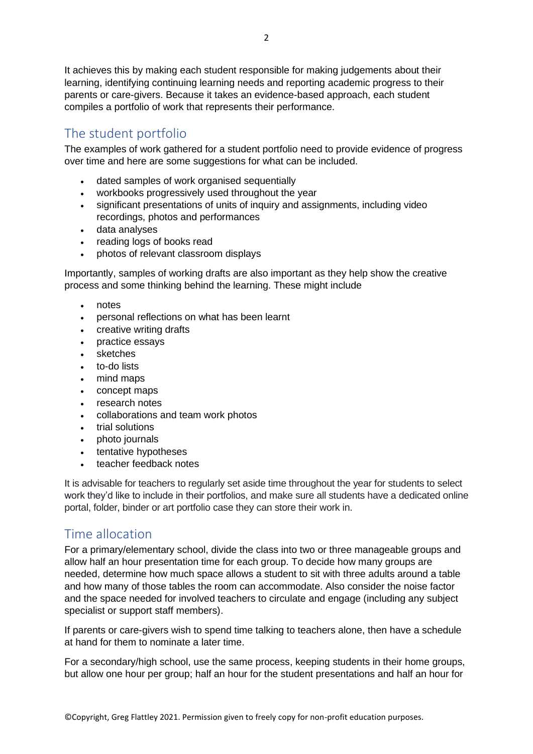It achieves this by making each student responsible for making judgements about their learning, identifying continuing learning needs and reporting academic progress to their parents or care-givers. Because it takes an evidence-based approach, each student compiles a portfolio of work that represents their performance.

# <span id="page-1-0"></span>The student portfolio

The examples of work gathered for a student portfolio need to provide evidence of progress over time and here are some suggestions for what can be included.

- dated samples of work organised sequentially
- workbooks progressively used throughout the year
- significant presentations of units of inquiry and assignments, including video recordings, photos and performances
- data analyses
- reading logs of books read
- photos of relevant classroom displays

Importantly, samples of working drafts are also important as they help show the creative process and some thinking behind the learning. These might include

- notes
- personal reflections on what has been learnt
- creative writing drafts
- practice essays
- sketches
- to-do lists
- mind maps
- concept maps
- research notes
- collaborations and team work photos
- trial solutions
- photo journals
- tentative hypotheses
- teacher feedback notes

It is advisable for teachers to regularly set aside time throughout the year for students to select work they'd like to include in their portfolios, and make sure all students have a dedicated online portal, folder, binder or art portfolio case they can store their work in.

### <span id="page-1-1"></span>Time allocation

For a primary/elementary school, divide the class into two or three manageable groups and allow half an hour presentation time for each group. To decide how many groups are needed, determine how much space allows a student to sit with three adults around a table and how many of those tables the room can accommodate. Also consider the noise factor and the space needed for involved teachers to circulate and engage (including any subject specialist or support staff members).

If parents or care-givers wish to spend time talking to teachers alone, then have a schedule at hand for them to nominate a later time.

For a secondary/high school, use the same process, keeping students in their home groups, but allow one hour per group; half an hour for the student presentations and half an hour for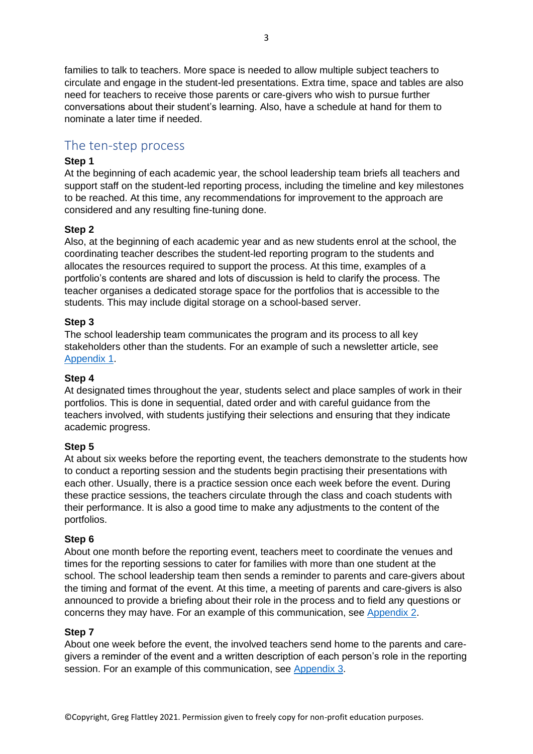families to talk to teachers. More space is needed to allow multiple subject teachers to circulate and engage in the student-led presentations. Extra time, space and tables are also need for teachers to receive those parents or care-givers who wish to pursue further conversations about their student's learning. Also, have a schedule at hand for them to nominate a later time if needed.

### <span id="page-2-0"></span>The ten-step process

### **Step 1**

At the beginning of each academic year, the school leadership team briefs all teachers and support staff on the student-led reporting process, including the timeline and key milestones to be reached. At this time, any recommendations for improvement to the approach are considered and any resulting fine-tuning done.

### **Step 2**

Also, at the beginning of each academic year and as new students enrol at the school, the coordinating teacher describes the student-led reporting program to the students and allocates the resources required to support the process. At this time, examples of a portfolio's contents are shared and lots of discussion is held to clarify the process. The teacher organises a dedicated storage space for the portfolios that is accessible to the students. This may include digital storage on a school-based server.

### **Step 3**

The school leadership team communicates the program and its process to all key stakeholders other than the students. For an example of such a newsletter article, see [Appendix 1.](#page-4-2)

#### **Step 4**

At designated times throughout the year, students select and place samples of work in their portfolios. This is done in sequential, dated order and with careful guidance from the teachers involved, with students justifying their selections and ensuring that they indicate academic progress.

### **Step 5**

At about six weeks before the reporting event, the teachers demonstrate to the students how to conduct a reporting session and the students begin practising their presentations with each other. Usually, there is a practice session once each week before the event. During these practice sessions, the teachers circulate through the class and coach students with their performance. It is also a good time to make any adjustments to the content of the portfolios.

#### **Step 6**

About one month before the reporting event, teachers meet to coordinate the venues and times for the reporting sessions to cater for families with more than one student at the school. The school leadership team then sends a reminder to parents and care-givers about the timing and format of the event. At this time, a meeting of parents and care-givers is also announced to provide a briefing about their role in the process and to field any questions or concerns they may have. For an example of this communication, see [Appendix 2.](#page-5-0)

#### **Step 7**

About one week before the event, the involved teachers send home to the parents and caregivers a reminder of the event and a written description of each person's role in the reporting session. For an example of this communication, see [Appendix 3.](#page-6-0)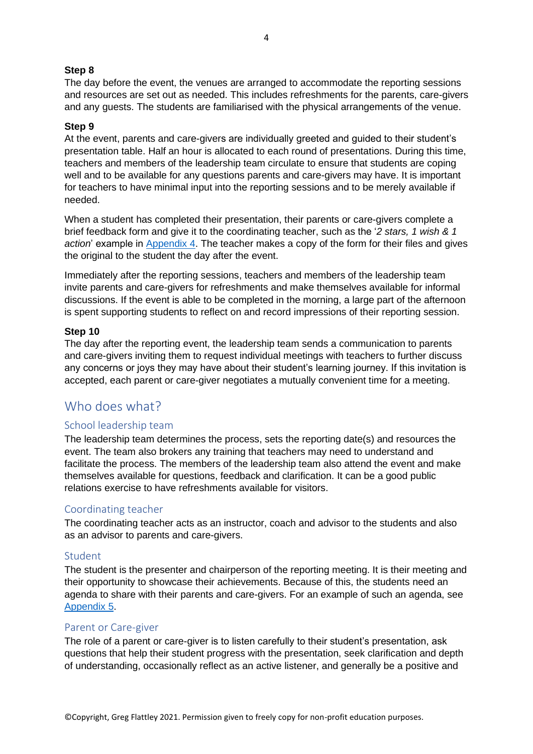### **Step 8**

The day before the event, the venues are arranged to accommodate the reporting sessions and resources are set out as needed. This includes refreshments for the parents, care-givers and any guests. The students are familiarised with the physical arrangements of the venue.

### **Step 9**

At the event, parents and care-givers are individually greeted and guided to their student's presentation table. Half an hour is allocated to each round of presentations. During this time, teachers and members of the leadership team circulate to ensure that students are coping well and to be available for any questions parents and care-givers may have. It is important for teachers to have minimal input into the reporting sessions and to be merely available if needed.

When a student has completed their presentation, their parents or care-givers complete a brief feedback form and give it to the coordinating teacher, such as the '*2 stars, 1 wish & 1 action*' example in [Appendix 4.](#page-7-0) The teacher makes a copy of the form for their files and gives the original to the student the day after the event.

Immediately after the reporting sessions, teachers and members of the leadership team invite parents and care-givers for refreshments and make themselves available for informal discussions. If the event is able to be completed in the morning, a large part of the afternoon is spent supporting students to reflect on and record impressions of their reporting session.

#### **Step 10**

The day after the reporting event, the leadership team sends a communication to parents and care-givers inviting them to request individual meetings with teachers to further discuss any concerns or joys they may have about their student's learning journey. If this invitation is accepted, each parent or care-giver negotiates a mutually convenient time for a meeting.

### <span id="page-3-0"></span>Who does what?

### <span id="page-3-1"></span>School leadership team

The leadership team determines the process, sets the reporting date(s) and resources the event. The team also brokers any training that teachers may need to understand and facilitate the process. The members of the leadership team also attend the event and make themselves available for questions, feedback and clarification. It can be a good public relations exercise to have refreshments available for visitors.

### <span id="page-3-2"></span>Coordinating teacher

The coordinating teacher acts as an instructor, coach and advisor to the students and also as an advisor to parents and care-givers.

#### <span id="page-3-3"></span>Student

The student is the presenter and chairperson of the reporting meeting. It is their meeting and their opportunity to showcase their achievements. Because of this, the students need an agenda to share with their parents and care-givers. For an example of such an agenda, see [Appendix 5.](#page-9-0)

#### <span id="page-3-4"></span>Parent or Care-giver

The role of a parent or care-giver is to listen carefully to their student's presentation, ask questions that help their student progress with the presentation, seek clarification and depth of understanding, occasionally reflect as an active listener, and generally be a positive and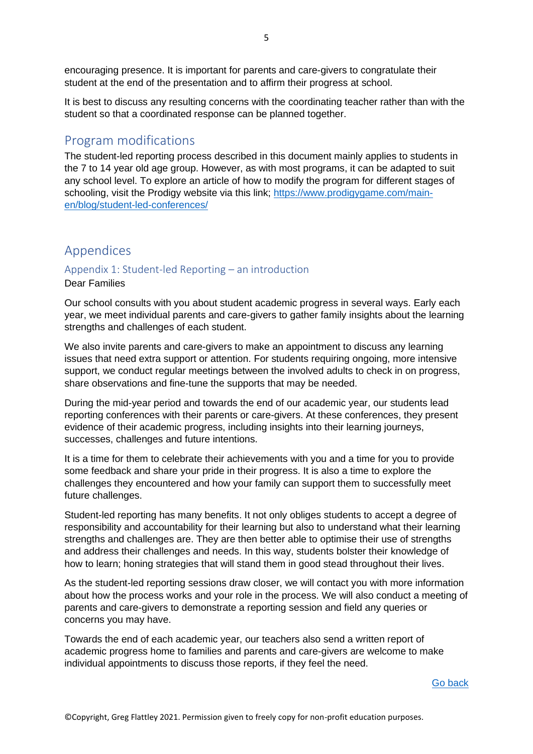encouraging presence. It is important for parents and care-givers to congratulate their student at the end of the presentation and to affirm their progress at school.

It is best to discuss any resulting concerns with the coordinating teacher rather than with the student so that a coordinated response can be planned together.

### <span id="page-4-0"></span>Program modifications

The student-led reporting process described in this document mainly applies to students in the 7 to 14 year old age group. However, as with most programs, it can be adapted to suit any school level. To explore an article of how to modify the program for different stages of schooling, visit the Prodigy website via this link; [https://www.prodigygame.com/main](https://www.prodigygame.com/main-en/blog/student-led-conferences/)[en/blog/student-led-conferences/](https://www.prodigygame.com/main-en/blog/student-led-conferences/)

### <span id="page-4-1"></span>Appendices

### <span id="page-4-2"></span>Appendix 1: Student-led Reporting – an introduction Dear Families

Our school consults with you about student academic progress in several ways. Early each year, we meet individual parents and care-givers to gather family insights about the learning strengths and challenges of each student.

We also invite parents and care-givers to make an appointment to discuss any learning issues that need extra support or attention. For students requiring ongoing, more intensive support, we conduct regular meetings between the involved adults to check in on progress, share observations and fine-tune the supports that may be needed.

During the mid-year period and towards the end of our academic year, our students lead reporting conferences with their parents or care-givers. At these conferences, they present evidence of their academic progress, including insights into their learning journeys, successes, challenges and future intentions.

It is a time for them to celebrate their achievements with you and a time for you to provide some feedback and share your pride in their progress. It is also a time to explore the challenges they encountered and how your family can support them to successfully meet future challenges.

Student-led reporting has many benefits. It not only obliges students to accept a degree of responsibility and accountability for their learning but also to understand what their learning strengths and challenges are. They are then better able to optimise their use of strengths and address their challenges and needs. In this way, students bolster their knowledge of how to learn; honing strategies that will stand them in good stead throughout their lives.

As the student-led reporting sessions draw closer, we will contact you with more information about how the process works and your role in the process. We will also conduct a meeting of parents and care-givers to demonstrate a reporting session and field any queries or concerns you may have.

Towards the end of each academic year, our teachers also send a written report of academic progress home to families and parents and care-givers are welcome to make individual appointments to discuss those reports, if they feel the need.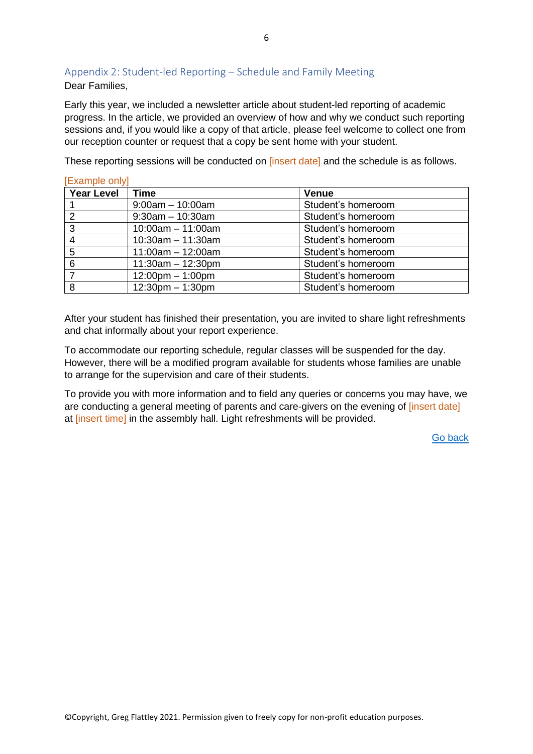### <span id="page-5-0"></span>Appendix 2: Student-led Reporting – Schedule and Family Meeting Dear Families,

Early this year, we included a newsletter article about student-led reporting of academic progress. In the article, we provided an overview of how and why we conduct such reporting sessions and, if you would like a copy of that article, please feel welcome to collect one from our reception counter or request that a copy be sent home with your student.

These reporting sessions will be conducted on [insert date] and the schedule is as follows.

| [Example only]    |                                    |                    |  |  |
|-------------------|------------------------------------|--------------------|--|--|
| <b>Year Level</b> | Time                               | <b>Venue</b>       |  |  |
|                   | $9:00am - 10:00am$                 | Student's homeroom |  |  |
| 2                 | $9:30$ am $-10:30$ am              | Student's homeroom |  |  |
| 3                 | $10:00am - 11:00am$                | Student's homeroom |  |  |
| 4                 | $10:30$ am $-11:30$ am             | Student's homeroom |  |  |
| 5                 | $11:00am - 12:00am$                | Student's homeroom |  |  |
| 6                 | $11:30am - 12:30pm$                | Student's homeroom |  |  |
|                   | $12:00 \text{pm} - 1:00 \text{pm}$ | Student's homeroom |  |  |
| 8                 | $12:30$ pm $-1:30$ pm              | Student's homeroom |  |  |

After your student has finished their presentation, you are invited to share light refreshments and chat informally about your report experience.

To accommodate our reporting schedule, regular classes will be suspended for the day. However, there will be a modified program available for students whose families are unable to arrange for the supervision and care of their students.

To provide you with more information and to field any queries or concerns you may have, we are conducting a general meeting of parents and care-givers on the evening of *[insert date]* at linsert time] in the assembly hall. Light refreshments will be provided.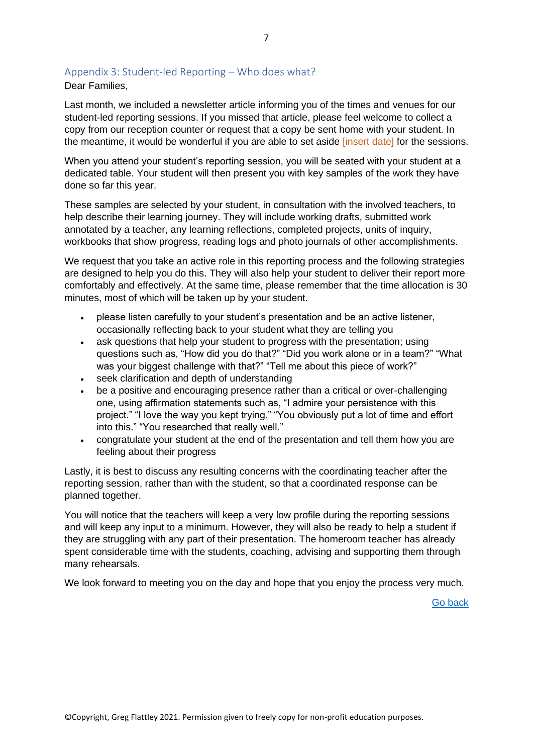### <span id="page-6-0"></span>Appendix 3: Student-led Reporting – Who does what?

Dear Families,

Last month, we included a newsletter article informing you of the times and venues for our student-led reporting sessions. If you missed that article, please feel welcome to collect a copy from our reception counter or request that a copy be sent home with your student. In the meantime, it would be wonderful if you are able to set aside [insert date] for the sessions.

When you attend your student's reporting session, you will be seated with your student at a dedicated table. Your student will then present you with key samples of the work they have done so far this year.

These samples are selected by your student, in consultation with the involved teachers, to help describe their learning journey. They will include working drafts, submitted work annotated by a teacher, any learning reflections, completed projects, units of inquiry, workbooks that show progress, reading logs and photo journals of other accomplishments.

We request that you take an active role in this reporting process and the following strategies are designed to help you do this. They will also help your student to deliver their report more comfortably and effectively. At the same time, please remember that the time allocation is 30 minutes, most of which will be taken up by your student.

- please listen carefully to your student's presentation and be an active listener, occasionally reflecting back to your student what they are telling you
- ask questions that help your student to progress with the presentation; using questions such as, "How did you do that?" "Did you work alone or in a team?" "What was your biggest challenge with that?" "Tell me about this piece of work?"
- seek clarification and depth of understanding
- be a positive and encouraging presence rather than a critical or over-challenging one, using affirmation statements such as, "I admire your persistence with this project." "I love the way you kept trying." "You obviously put a lot of time and effort into this." "You researched that really well."
- congratulate your student at the end of the presentation and tell them how you are feeling about their progress

Lastly, it is best to discuss any resulting concerns with the coordinating teacher after the reporting session, rather than with the student, so that a coordinated response can be planned together.

You will notice that the teachers will keep a very low profile during the reporting sessions and will keep any input to a minimum. However, they will also be ready to help a student if they are struggling with any part of their presentation. The homeroom teacher has already spent considerable time with the students, coaching, advising and supporting them through many rehearsals.

We look forward to meeting you on the day and hope that you enjoy the process very much.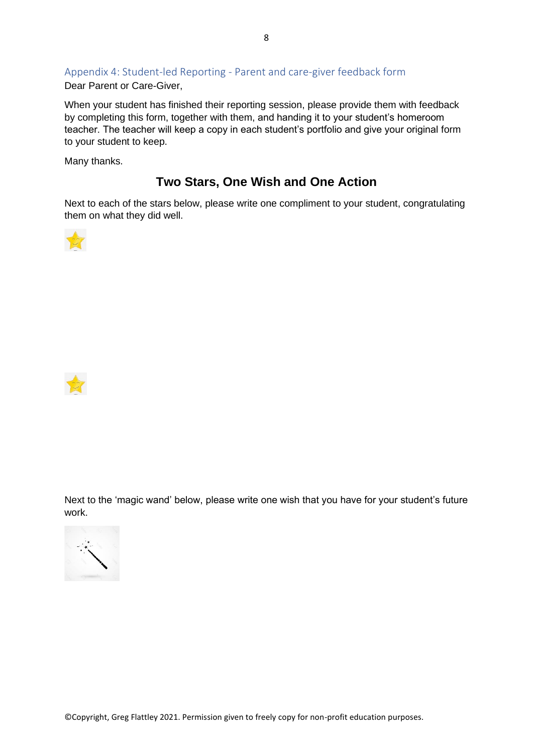## <span id="page-7-0"></span>Appendix 4: Student-led Reporting - Parent and care-giver feedback form

Dear Parent or Care-Giver,

When your student has finished their reporting session, please provide them with feedback by completing this form, together with them, and handing it to your student's homeroom teacher. The teacher will keep a copy in each student's portfolio and give your original form to your student to keep.

Many thanks.

## **Two Stars, One Wish and One Action**

Next to each of the stars below, please write one compliment to your student, congratulating them on what they did well.





Next to the 'magic wand' below, please write one wish that you have for your student's future work.

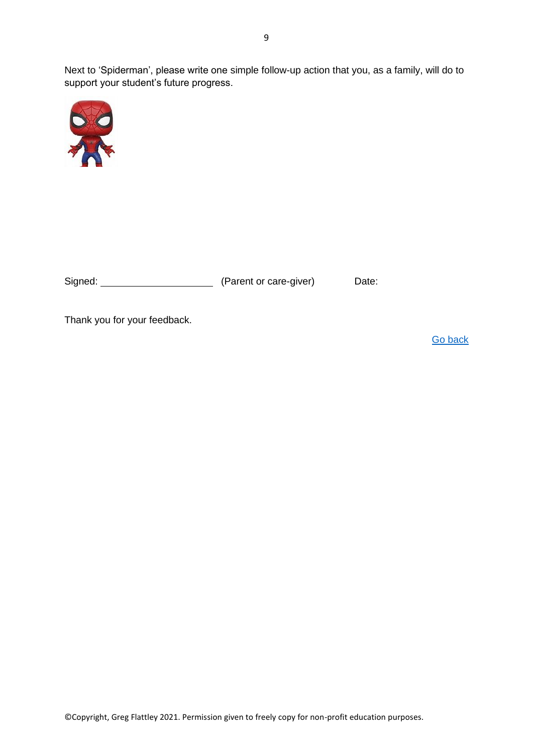Next to 'Spiderman', please write one simple follow-up action that you, as a family, will do to support your student's future progress.



| Signed: | (Parent or care-giver) | Date: |
|---------|------------------------|-------|
|         |                        |       |

Thank you for your feedback.